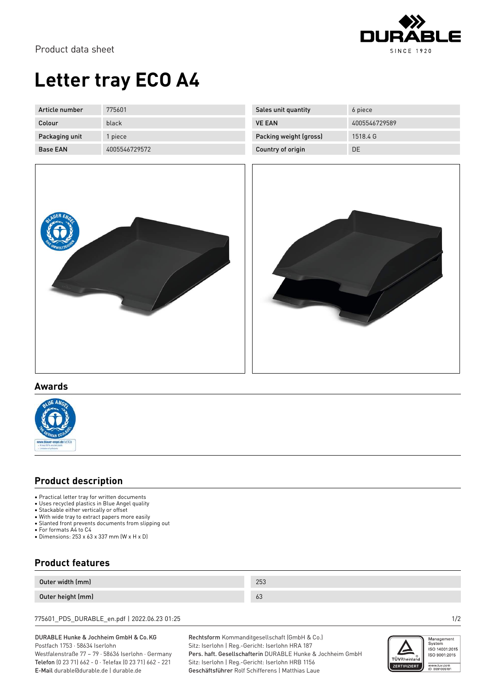

Product data sheet

# **Letter tray ECO A4**

| Article number  | 775601        |
|-----------------|---------------|
| Colour          | black         |
| Packaging unit  | 1 piece       |
| <b>Base FAN</b> | 4005546729572 |

| 6 piece       |
|---------------|
| 4005546729589 |
| 1518.4 G      |
| DΕ            |
|               |





### **Awards**



### **Product description**

- Practical letter tray for written documents
- Uses recycled plastics in Blue Angel quality
- Stackable either vertically or offset
- Stachaste chine. To heavy The Theory • Slanted front prevents documents from slipping out
- For formats A4 to C4
- Dimensions: 253 x 63 x 337 mm (W x H x D)

## **Product features**

| Outer width (mm)  | 253 |
|-------------------|-----|
| Outer height (mm) | 63  |

775601\_PDS\_DURABLE\_en.pdf | 2022.06.23 01:25 1/2

#### DURABLE Hunke & Jochheim GmbH & Co.KG Postfach 1753 · 58634 Iserlohn

Westfalenstraße 77 – 79 · 58636 Iserlohn · Germany Telefon (0 23 71) 662 - 0 · Telefax (0 23 71) 662 - 221 E-Mail durable@durable.de | durable.de

Rechtsform Kommanditgesellschaft (GmbH & Co.) Sitz: Iserlohn | Reg.-Gericht: Iserlohn HRA 187 Pers. haft. Gesellschafterin DURABLE Hunke & Jochheim GmbH Sitz: Iserlohn | Reg.-Gericht: Iserlohn HRB 1156 Geschäftsführer Rolf Schifferens | Matthias Laue